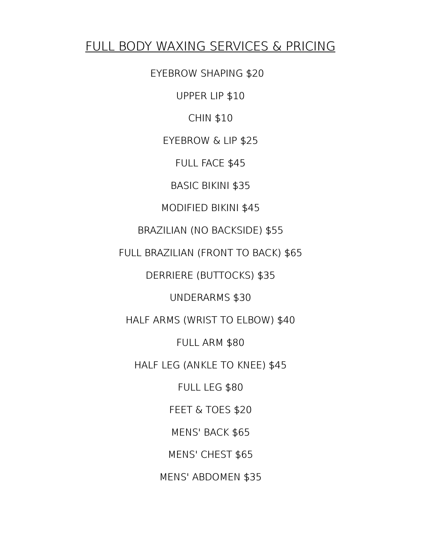#### FULL BODY WAXING SERVICES & PRICING

EYEBROW SHAPING \$20

UPPER LIP \$10

CHIN \$10

EYEBROW & LIP \$25

FULL FACE \$45

BASIC BIKINI \$35

MODIFIED BIKINI \$45

BRAZILIAN (NO BACKSIDE) \$55

FULL BRAZILIAN (FRONT TO BACK) \$65

DERRIERE (BUTTOCKS) \$35

UNDERARMS \$30

HALF ARMS (WRIST TO ELBOW) \$40

FULL ARM \$80

HALF LEG (ANKLE TO KNEE) \$45

FULL LEG \$80 FEET & TOES \$20 MENS' BACK \$65

MENS' CHEST \$65

MENS' ABDOMEN \$35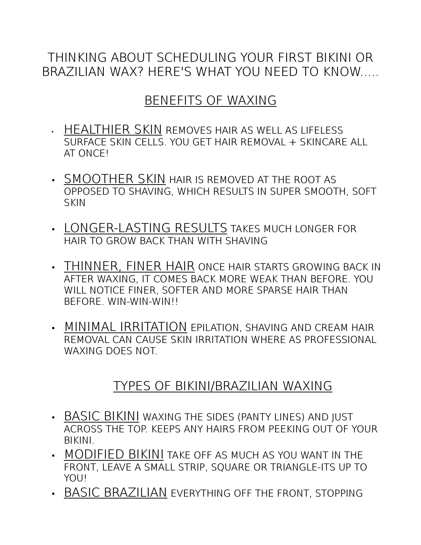## THINKING ABOUT SCHEDULING YOUR FIRST BIKINI OR BRAZILIAN WAX? HERE'S WHAT YOU NEED TO KNOW.....

# BENEFITS OF WAXING

- HEALTHIER SKIN REMOVES HAIR AS WELL AS LIFELESS SURFACE SKIN CELLS. YOU GET HAIR REMOVAL + SKINCARE ALL AT ONCE!
- SMOOTHER SKIN HAIR IS REMOVED AT THE ROOT AS OPPOSED TO SHAVING, WHICH RESULTS IN SUPER SMOOTH, SOFT **SKIN**
- LONGER-LASTING RESULTS TAKES MUCH LONGER FOR HAIR TO GROW BACK THAN WITH SHAVING
- THINNER, FINER HAIR ONCE HAIR STARTS GROWING BACK IN AFTER WAXING, IT COMES BACK MORE WEAK THAN BEFORE. YOU WILL NOTICE FINER, SOFTER AND MORE SPARSE HAIR THAN BEFORE. WIN-WIN-WIN!!
- MINIMAL IRRITATION EPILATION, SHAVING AND CREAM HAIR REMOVAL CAN CAUSE SKIN IRRITATION WHERE AS PROFESSIONAL WAXING DOES NOT

## TYPES OF BIKINI/BRAZILIAN WAXING

- BASIC BIKINI WAXING THE SIDES (PANTY LINES) AND JUST ACROSS THE TOP. KEEPS ANY HAIRS FROM PEEKING OUT OF YOUR BIKINI.
- MODIFIED BIKINI TAKE OFF AS MUCH AS YOU WANT IN THE FRONT, LEAVE A SMALL STRIP, SQUARE OR TRIANGLE-ITS UP TO YOU!
- BASIC BRAZILIAN EVERYTHING OFF THE FRONT, STOPPING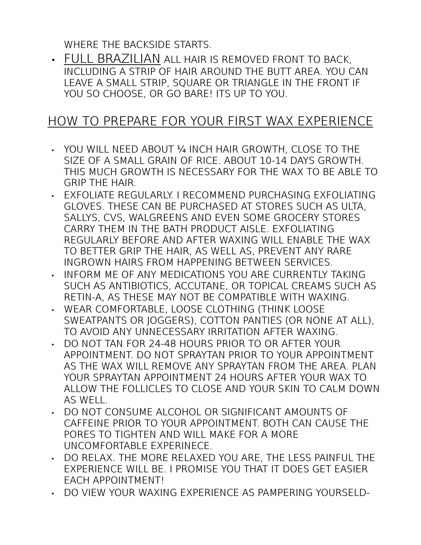WHERE THE BACKSIDE STARTS.

• FULL BRAZILIAN ALL HAIR IS REMOVED FRONT TO BACK, INCLUDING A STRIP OF HAIR AROUND THE BUTT AREA. YOU CAN LEAVE A SMALL STRIP, SQUARE OR TRIANGLE IN THE FRONT IF YOU SO CHOOSE, OR GO BARE! ITS UP TO YOU.

#### HOW TO PREPARE FOR YOUR FIRST WAX EXPERIENCE

- YOU WILL NEED ABOUT ¼ INCH HAIR GROWTH, CLOSE TO THE SIZE OF A SMALL GRAIN OF RICE. ABOUT 10-14 DAYS GROWTH. THIS MUCH GROWTH IS NECESSARY FOR THE WAX TO BE ABLE TO GRIP THE HAIR.
- EXFOLIATE REGULARLY. I RECOMMEND PURCHASING EXFOLIATING GLOVES. THESE CAN BE PURCHASED AT STORES SUCH AS ULTA, SALLYS, CVS, WALGREENS AND EVEN SOME GROCERY STORES CARRY THEM IN THE BATH PRODUCT AISLE. EXFOLIATING REGULARLY BEFORE AND AFTER WAXING WILL ENABLE THE WAX TO BETTER GRIP THE HAIR, AS WELL AS, PREVENT ANY RARE INGROWN HAIRS FROM HAPPENING BETWEEN SERVICES.
- INFORM ME OF ANY MEDICATIONS YOU ARE CURRENTLY TAKING SUCH AS ANTIBIOTICS, ACCUTANE, OR TOPICAL CREAMS SUCH AS RETIN-A, AS THESE MAY NOT BE COMPATIBLE WITH WAXING.
- WEAR COMFORTABLE, LOOSE CLOTHING (THINK LOOSE SWEATPANTS OR JOGGERS), COTTON PANTIES (OR NONE AT ALL), TO AVOID ANY UNNECESSARY IRRITATION AFTER WAXING.
- DO NOT TAN FOR 24-48 HOURS PRIOR TO OR AFTER YOUR APPOINTMENT. DO NOT SPRAYTAN PRIOR TO YOUR APPOINTMENT AS THE WAX WILL REMOVE ANY SPRAYTAN FROM THE AREA. PLAN YOUR SPRAYTAN APPOINTMENT 24 HOURS AFTER YOUR WAX TO ALLOW THE FOLLICLES TO CLOSE AND YOUR SKIN TO CALM DOWN AS WELL.
- DO NOT CONSUME ALCOHOL OR SIGNIFICANT AMOUNTS OF CAFFEINE PRIOR TO YOUR APPOINTMENT. BOTH CAN CAUSE THE PORES TO TIGHTEN AND WILL MAKE FOR A MORE UNCOMFORTABLE EXPERINECE.
- DO RELAX. THE MORE RELAXED YOU ARE, THE LESS PAINFUL THE EXPERIENCE WILL BE. I PROMISE YOU THAT IT DOES GET EASIER EACH APPOINTMENT!
- DO VIEW YOUR WAXING EXPERIENCE AS PAMPERING YOURSELD-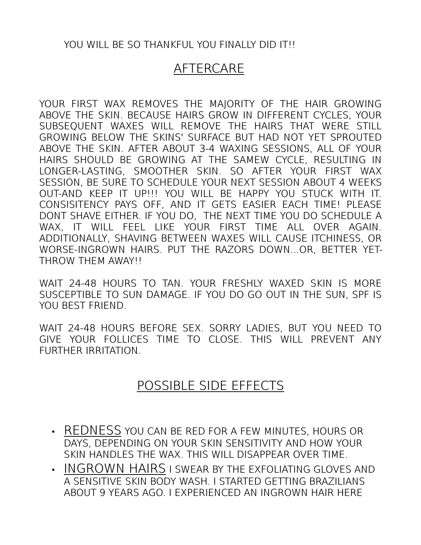#### YOU WILL BE SO THANKFUL YOU FINALLY DID IT!!

## AFTERCARE

YOUR FIRST WAX REMOVES THE MAJORITY OF THE HAIR GROWING ABOVE THE SKIN. BECAUSE HAIRS GROW IN DIFFERENT CYCLES, YOUR SUBSEQUENT WAXES WILL REMOVE THE HAIRS THAT WERE STILL GROWING BELOW THE SKINS' SURFACE BUT HAD NOT YET SPROUTED ABOVE THE SKIN. AFTER ABOUT 3-4 WAXING SESSIONS, ALL OF YOUR HAIRS SHOULD BE GROWING AT THE SAMEW CYCLE, RESULTING IN LONGER-LASTING, SMOOTHER SKIN. SO AFTER YOUR FIRST WAX SESSION, BE SURE TO SCHEDULE YOUR NEXT SESSION ABOUT 4 WEEKS OUT-AND KEEP IT UP!!! YOU WILL BE HAPPY YOU STUCK WITH IT. CONSISITENCY PAYS OFF, AND IT GETS EASIER EACH TIME! PLEASE DONT SHAVE EITHER. IF YOU DO, THE NEXT TIME YOU DO SCHEDULE A WAX, IT WILL FEEL LIKE YOUR FIRST TIME ALL OVER AGAIN. ADDITIONALLY, SHAVING BETWEEN WAXES WILL CAUSE ITCHINESS, OR WORSE-INGROWN HAIRS. PUT THE RAZORS DOWN...OR, BETTER YET-THROW THEM AWAY!!

WAIT 24-48 HOURS TO TAN. YOUR FRESHLY WAXED SKIN IS MORE SUSCEPTIBLE TO SUN DAMAGE. IF YOU DO GO OUT IN THE SUN, SPF IS YOU BEST FRIEND.

WAIT 24-48 HOURS BEFORE SEX. SORRY LADIES, BUT YOU NEED TO GIVE YOUR FOLLICES TIME TO CLOSE. THIS WILL PREVENT ANY FURTHER IRRITATION.

#### POSSIBLE SIDE EFFECTS

- REDNESS YOU CAN BE RED FOR A FEW MINUTES, HOURS OR DAYS, DEPENDING ON YOUR SKIN SENSITIVITY AND HOW YOUR SKIN HANDLES THE WAX. THIS WILL DISAPPEAR OVER TIME.
- INGROWN HAIRS I SWEAR BY THE EXFOLIATING GLOVES AND A SENSITIVE SKIN BODY WASH. I STARTED GETTING BRAZILIANS ABOUT 9 YEARS AGO. I EXPERIENCED AN INGROWN HAIR HERE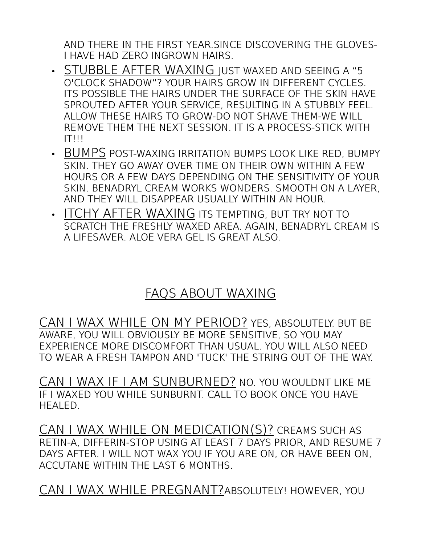AND THERE IN THE FIRST YEAR.SINCE DISCOVERING THE GLOVES-I HAVE HAD ZERO INGROWN HAIRS.

- STUBBLE AFTER WAXING JUST WAXED AND SEEING A "5 O'CLOCK SHADOW"? YOUR HAIRS GROW IN DIFFERENT CYCLES. ITS POSSIBLE THE HAIRS UNDER THE SURFACE OF THE SKIN HAVE SPROUTED AFTER YOUR SERVICE, RESULTING IN A STUBBLY FEEL. ALLOW THESE HAIRS TO GROW-DO NOT SHAVE THEM-WE WILL REMOVE THEM THE NEXT SESSION. IT IS A PROCESS-STICK WITH  $IT!!!$
- BUMPS POST-WAXING IRRITATION BUMPS LOOK LIKE RED, BUMPY SKIN. THEY GO AWAY OVER TIME ON THEIR OWN WITHIN A FEW HOURS OR A FEW DAYS DEPENDING ON THE SENSITIVITY OF YOUR SKIN. BENADRYL CREAM WORKS WONDERS. SMOOTH ON A LAYER, AND THEY WILL DISAPPEAR USUALLY WITHIN AN HOUR.
- ITCHY AFTER WAXING ITS TEMPTING, BUT TRY NOT TO SCRATCH THE FRESHLY WAXED AREA. AGAIN, BENADRYL CREAM IS A LIFESAVER. ALOE VERA GEL IS GREAT ALSO.

## FAQS ABOUT WAXING

CAN I WAX WHILE ON MY PERIOD? YES, ABSOLUTELY. BUT BE AWARE, YOU WILL OBVIOUSLY BE MORE SENSITIVE, SO YOU MAY EXPERIENCE MORE DISCOMFORT THAN USUAL. YOU WILL ALSO NEED TO WEAR A FRESH TAMPON AND 'TUCK' THE STRING OUT OF THE WAY.

CAN I WAX IF I AM SUNBURNED? NO. YOU WOULDNT LIKE ME IF I WAXED YOU WHILE SUNBURNT. CALL TO BOOK ONCE YOU HAVE HEALED.

CAN I WAX WHILE ON MEDICATION(S)? CREAMS SUCH AS RETIN-A, DIFFERIN-STOP USING AT LEAST 7 DAYS PRIOR, AND RESUME 7 DAYS AFTER. I WILL NOT WAX YOU IF YOU ARE ON, OR HAVE BEEN ON, ACCUTANE WITHIN THE LAST 6 MONTHS.

CAN I WAX WHILE PREGNANT?ABSOLUTELY! HOWEVER, YOU